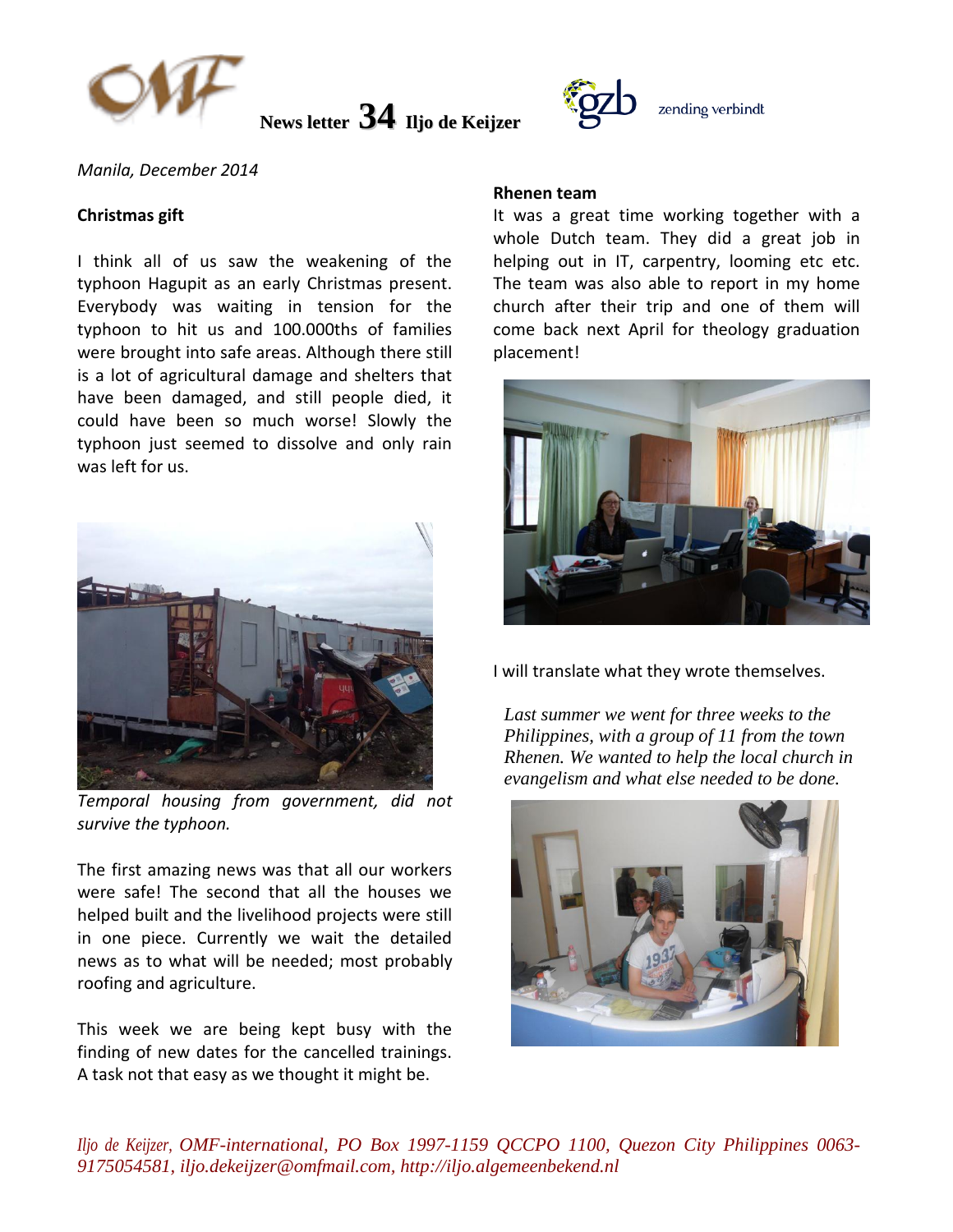

**News letter 34 Iljo de Keijzer**



*Manila, December 2014* 

### **Christmas gift**

I think all of us saw the weakening of the typhoon Hagupit as an early Christmas present. Everybody was waiting in tension for the typhoon to hit us and 100.000ths of families were brought into safe areas. Although there still is a lot of agricultural damage and shelters that have been damaged, and still people died, it could have been so much worse! Slowly the typhoon just seemed to dissolve and only rain was left for us.



*Temporal housing from government, did not survive the typhoon.*

The first amazing news was that all our workers were safe! The second that all the houses we helped built and the livelihood projects were still in one piece. Currently we wait the detailed news as to what will be needed; most probably roofing and agriculture.

This week we are being kept busy with the finding of new dates for the cancelled trainings. A task not that easy as we thought it might be.

#### **Rhenen team**

It was a great time working together with a whole Dutch team. They did a great job in helping out in IT, carpentry, looming etc etc. The team was also able to report in my home church after their trip and one of them will come back next April for theology graduation placement!



I will translate what they wrote themselves.

*Last summer we went for three weeks to the Philippines, with a group of 11 from the town Rhenen. We wanted to help the local church in evangelism and what else needed to be done.*



*Iljo de Keijzer, OMF-international, PO Box 1997-1159 QCCPO 1100, Quezon City Philippines 0063- 9175054581, iljo.dekeijzer@omfmail.com, http://iljo.algemeenbekend.nl*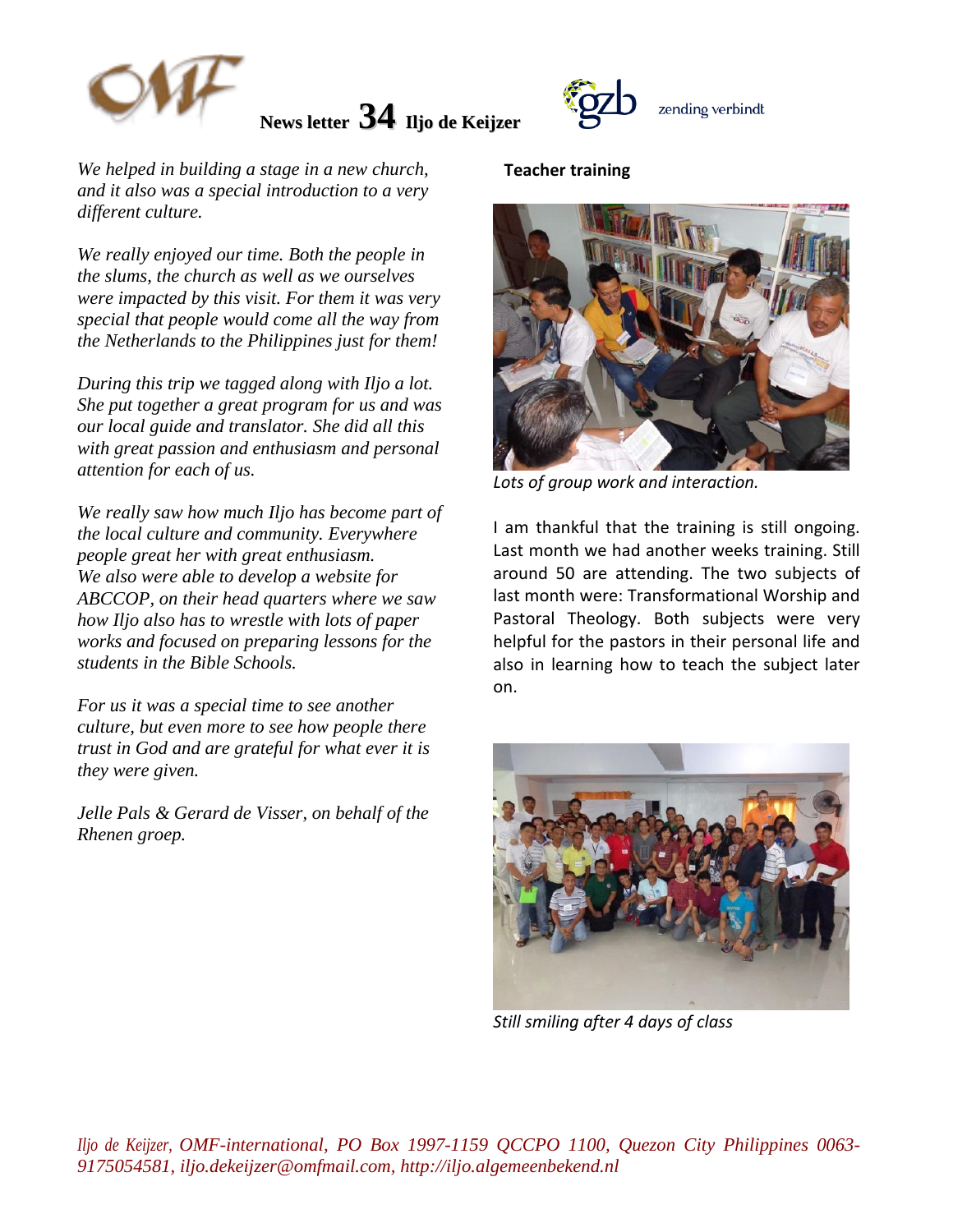

**News letter 34 Iljo de Keijzer**



*We helped in building a stage in a new church, and it also was a special introduction to a very different culture.*

*We really enjoyed our time. Both the people in the slums, the church as well as we ourselves were impacted by this visit. For them it was very special that people would come all the way from the Netherlands to the Philippines just for them!*

*During this trip we tagged along with Iljo a lot. She put together a great program for us and was our local guide and translator. She did all this with great passion and enthusiasm and personal attention for each of us.*

*We really saw how much Iljo has become part of the local culture and community. Everywhere people great her with great enthusiasm. We also were able to develop a website for ABCCOP, on their head quarters where we saw how Iljo also has to wrestle with lots of paper works and focused on preparing lessons for the students in the Bible Schools.*

*For us it was a special time to see another culture, but even more to see how people there trust in God and are grateful for what ever it is they were given.*

*Jelle Pals & Gerard de Visser, on behalf of the Rhenen groep.*

### **Teacher training**



*Lots of group work and interaction.*

I am thankful that the training is still ongoing. Last month we had another weeks training. Still around 50 are attending. The two subjects of last month were: Transformational Worship and Pastoral Theology. Both subjects were very helpful for the pastors in their personal life and also in learning how to teach the subject later on.



*Still smiling after 4 days of class*

*Iljo de Keijzer, OMF-international, PO Box 1997-1159 QCCPO 1100, Quezon City Philippines 0063- 9175054581, iljo.dekeijzer@omfmail.com, http://iljo.algemeenbekend.nl*